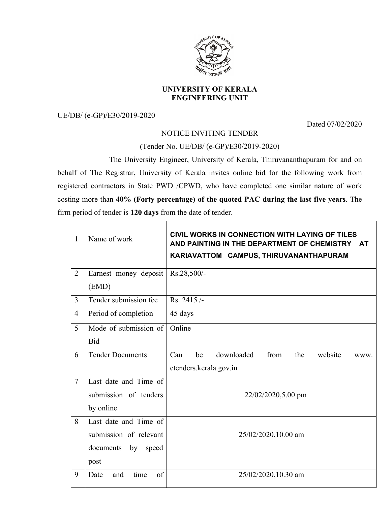

## **UNIVERSITY OF KERALA ENGINEERING UNIT**

UE/DB/ (e-GP)/E30/2019-2020

Dated 07/02/2020

## NOTICE INVITING TENDER

(Tender No. UE/DB/ (e-GP)/E30/2019-2020)

The University Engineer, University of Kerala, Thiruvananthapuram for and on behalf of The Registrar, University of Kerala invites online bid for the following work from registered contractors in State PWD /CPWD, who have completed one similar nature of work costing more than **40% (Forty percentage) of the quoted PAC during the last five years**. The firm period of tender is **120 days** from the date of tender.

| $\mathbf{1}$   | Name of work                                                                        | CIVIL WORKS IN CONNECTION WITH LAYING OF TILES<br>AND PAINTING IN THE DEPARTMENT OF CHEMISTRY<br><b>AT</b><br>KARIAVATTOM CAMPUS, THIRUVANANTHAPURAM |  |  |
|----------------|-------------------------------------------------------------------------------------|------------------------------------------------------------------------------------------------------------------------------------------------------|--|--|
| $\overline{2}$ | Earnest money deposit<br>(EMD)                                                      | Rs.28,500/-                                                                                                                                          |  |  |
| 3              | Tender submission fee                                                               | Rs. 2415/-                                                                                                                                           |  |  |
| 4              | Period of completion                                                                | 45 days                                                                                                                                              |  |  |
| 5              | Mode of submission of<br><b>Bid</b>                                                 | Online                                                                                                                                               |  |  |
| 6              | <b>Tender Documents</b>                                                             | Can<br>downloaded<br>from<br>the<br>website<br>be<br>WWW.<br>etenders.kerala.gov.in                                                                  |  |  |
| $\tau$         | Last date and Time of<br>submission of tenders<br>by online                         | 22/02/2020,5.00 pm                                                                                                                                   |  |  |
| 8              | Last date and Time of<br>submission of relevant<br>by<br>documents<br>speed<br>post | 25/02/2020,10.00 am                                                                                                                                  |  |  |
| 9              | of<br>time<br>Date<br>and                                                           | 25/02/2020,10.30 am                                                                                                                                  |  |  |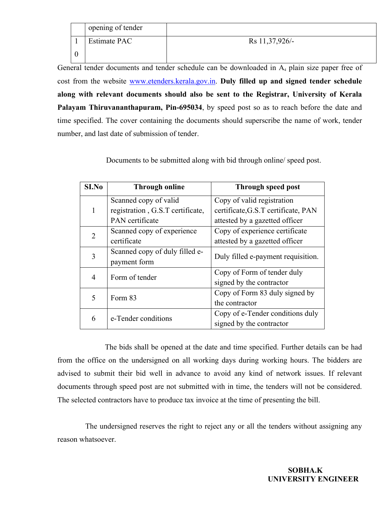| opening of tender   |                |
|---------------------|----------------|
| <b>Estimate PAC</b> | Rs 11,37,926/- |
|                     |                |

General tender documents and tender schedule can be downloaded in  $A<sub>4</sub>$  plain size paper free of cost from the website www.etenders.kerala.gov.in. **Duly filled up and signed tender schedule along with relevant documents should also be sent to the Registrar, University of Kerala Palayam Thiruvananthapuram, Pin-695034**, by speed post so as to reach before the date and time specified. The cover containing the documents should superscribe the name of work, tender number, and last date of submission of tender.

| S <sub>I.No</sub> | <b>Through online</b>            | <b>Through speed post</b>           |  |
|-------------------|----------------------------------|-------------------------------------|--|
|                   | Scanned copy of valid            | Copy of valid registration          |  |
|                   | registration, G.S.T certificate, | certificate, G.S.T certificate, PAN |  |
|                   | PAN certificate                  | attested by a gazetted officer      |  |
| $\overline{2}$    | Scanned copy of experience       | Copy of experience certificate      |  |
|                   | certificate                      | attested by a gazetted officer      |  |
| 3                 | Scanned copy of duly filled e-   | Duly filled e-payment requisition.  |  |
|                   | payment form                     |                                     |  |
| 4                 | Form of tender                   | Copy of Form of tender duly         |  |
|                   |                                  | signed by the contractor            |  |
| 5                 | Form 83                          | Copy of Form 83 duly signed by      |  |
|                   |                                  | the contractor                      |  |
|                   | e-Tender conditions              | Copy of e-Tender conditions duly    |  |
| 6                 |                                  | signed by the contractor            |  |

Documents to be submitted along with bid through online/ speed post.

The bids shall be opened at the date and time specified. Further details can be had from the office on the undersigned on all working days during working hours. The bidders are advised to submit their bid well in advance to avoid any kind of network issues. If relevant documents through speed post are not submitted with in time, the tenders will not be considered. The selected contractors have to produce tax invoice at the time of presenting the bill.

The undersigned reserves the right to reject any or all the tenders without assigning any reason whatsoever.